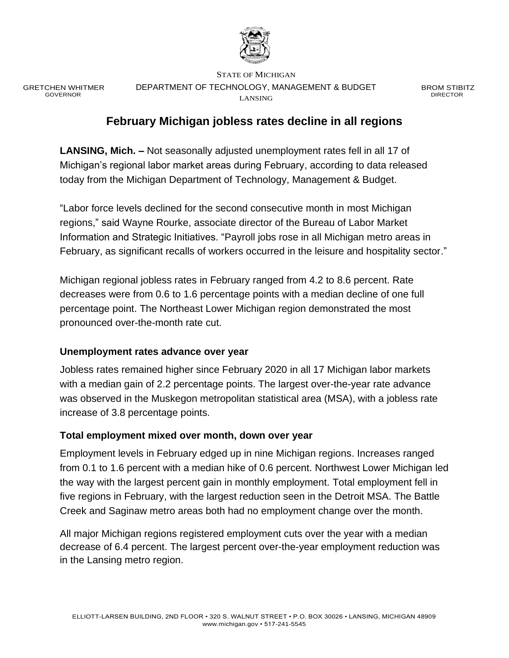

GRETCHEN WHITMER GOVERNOR

STATE OF MICHIGAN DEPARTMENT OF TECHNOLOGY, MANAGEMENT & BUDGET LANSING

BROM STIBITZ DIRECTOR

# **February Michigan jobless rates decline in all regions**

**LANSING, Mich. –** Not seasonally adjusted unemployment rates fell in all 17 of Michigan's regional labor market areas during February, according to data released today from the Michigan Department of Technology, Management & Budget.

"Labor force levels declined for the second consecutive month in most Michigan regions," said Wayne Rourke, associate director of the Bureau of Labor Market Information and Strategic Initiatives. "Payroll jobs rose in all Michigan metro areas in February, as significant recalls of workers occurred in the leisure and hospitality sector."

Michigan regional jobless rates in February ranged from 4.2 to 8.6 percent. Rate decreases were from 0.6 to 1.6 percentage points with a median decline of one full percentage point. The Northeast Lower Michigan region demonstrated the most pronounced over-the-month rate cut.

### **Unemployment rates advance over year**

Jobless rates remained higher since February 2020 in all 17 Michigan labor markets with a median gain of 2.2 percentage points. The largest over-the-year rate advance was observed in the Muskegon metropolitan statistical area (MSA), with a jobless rate increase of 3.8 percentage points.

#### **Total employment mixed over month, down over year**

Employment levels in February edged up in nine Michigan regions. Increases ranged from 0.1 to 1.6 percent with a median hike of 0.6 percent. Northwest Lower Michigan led the way with the largest percent gain in monthly employment. Total employment fell in five regions in February, with the largest reduction seen in the Detroit MSA. The Battle Creek and Saginaw metro areas both had no employment change over the month.

All major Michigan regions registered employment cuts over the year with a median decrease of 6.4 percent. The largest percent over-the-year employment reduction was in the Lansing metro region.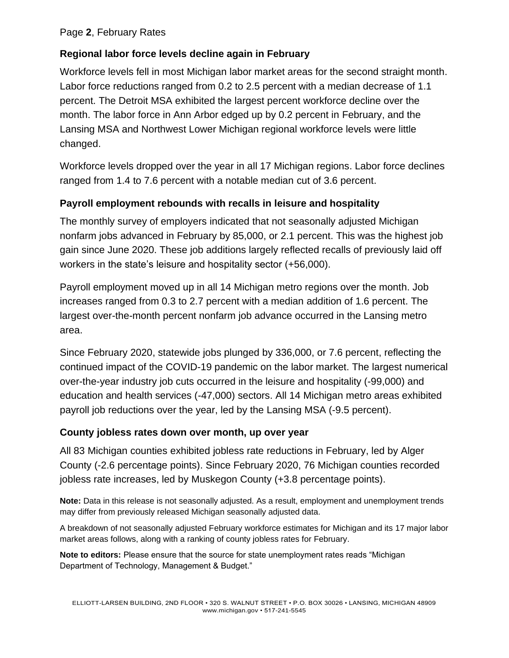### Page **2**, February Rates

### **Regional labor force levels decline again in February**

Workforce levels fell in most Michigan labor market areas for the second straight month. Labor force reductions ranged from 0.2 to 2.5 percent with a median decrease of 1.1 percent. The Detroit MSA exhibited the largest percent workforce decline over the month. The labor force in Ann Arbor edged up by 0.2 percent in February, and the Lansing MSA and Northwest Lower Michigan regional workforce levels were little changed.

Workforce levels dropped over the year in all 17 Michigan regions. Labor force declines ranged from 1.4 to 7.6 percent with a notable median cut of 3.6 percent.

### **Payroll employment rebounds with recalls in leisure and hospitality**

The monthly survey of employers indicated that not seasonally adjusted Michigan nonfarm jobs advanced in February by 85,000, or 2.1 percent. This was the highest job gain since June 2020. These job additions largely reflected recalls of previously laid off workers in the state's leisure and hospitality sector (+56,000).

Payroll employment moved up in all 14 Michigan metro regions over the month. Job increases ranged from 0.3 to 2.7 percent with a median addition of 1.6 percent. The largest over-the-month percent nonfarm job advance occurred in the Lansing metro area.

Since February 2020, statewide jobs plunged by 336,000, or 7.6 percent, reflecting the continued impact of the COVID-19 pandemic on the labor market. The largest numerical over-the-year industry job cuts occurred in the leisure and hospitality (-99,000) and education and health services (-47,000) sectors. All 14 Michigan metro areas exhibited payroll job reductions over the year, led by the Lansing MSA (-9.5 percent).

### **County jobless rates down over month, up over year**

All 83 Michigan counties exhibited jobless rate reductions in February, led by Alger County (-2.6 percentage points). Since February 2020, 76 Michigan counties recorded jobless rate increases, led by Muskegon County (+3.8 percentage points).

**Note:** Data in this release is not seasonally adjusted. As a result, employment and unemployment trends may differ from previously released Michigan seasonally adjusted data.

A breakdown of not seasonally adjusted February workforce estimates for Michigan and its 17 major labor market areas follows, along with a ranking of county jobless rates for February.

**Note to editors:** Please ensure that the source for state unemployment rates reads "Michigan Department of Technology, Management & Budget."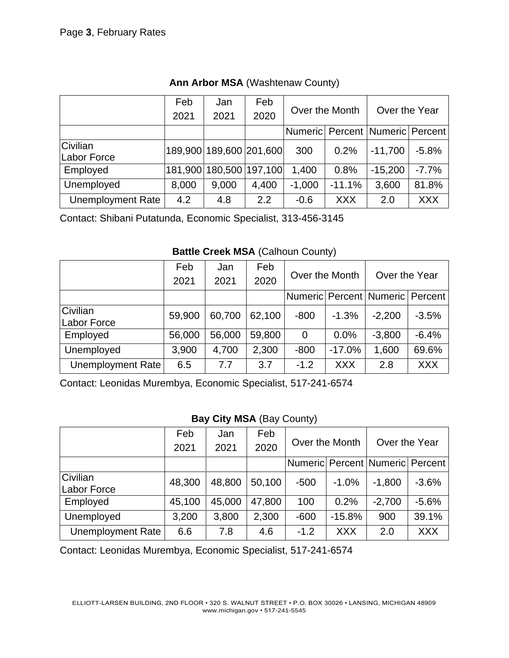|                          | Feb   | Jan                     | Feb     |                |            | Over the Year                         |            |
|--------------------------|-------|-------------------------|---------|----------------|------------|---------------------------------------|------------|
|                          | 2021  | 2021                    | 2020    | Over the Month |            |                                       |            |
|                          |       |                         |         |                |            | Numeric   Percent   Numeric   Percent |            |
| Civilian<br>Labor Force  |       | 189,900 189,600 201,600 |         | 300            | 0.2%       | $-11,700$                             | $-5.8%$    |
| Employed                 |       | 181,900 180,500         | 197,100 | 1,400          | 0.8%       | $-15,200$                             | $-7.7%$    |
| Unemployed               | 8,000 | 9,000                   | 4,400   | $-1,000$       | $-11.1%$   | 3,600                                 | 81.8%      |
| <b>Unemployment Rate</b> | 4.2   | 4.8                     | 2.2     | $-0.6$         | <b>XXX</b> | 2.0                                   | <b>XXX</b> |

**Ann Arbor MSA** (Washtenaw County)

Contact: Shibani Putatunda, Economic Specialist, 313-456-3145

### **Battle Creek MSA** (Calhoun County)

|                          | Feb    | Jan    | Feb    |                |            |                                     |            |
|--------------------------|--------|--------|--------|----------------|------------|-------------------------------------|------------|
|                          | 2021   | 2021   | 2020   | Over the Month |            | Over the Year                       |            |
|                          |        |        |        |                |            | Numeric Percent   Numeric   Percent |            |
| Civilian<br>Labor Force  | 59,900 | 60,700 | 62,100 | $-800$         | $-1.3%$    | $-2,200$                            | $-3.5%$    |
| Employed                 | 56,000 | 56,000 | 59,800 | $\Omega$       | 0.0%       | $-3,800$                            | $-6.4%$    |
| Unemployed               | 3,900  | 4,700  | 2,300  | $-800$         | $-17.0%$   | 1,600                               | 69.6%      |
| <b>Unemployment Rate</b> | 6.5    | 7.7    | 3.7    | $-1.2$         | <b>XXX</b> | 2.8                                 | <b>XXX</b> |

Contact: Leonidas Murembya, Economic Specialist, 517-241-6574

# **Bay City MSA** (Bay County)

|                         | Feb<br>2021 | Jan<br>2021 | Feb<br>2020 | Over the Month |            | Over the Year                        |            |
|-------------------------|-------------|-------------|-------------|----------------|------------|--------------------------------------|------------|
|                         |             |             |             |                |            |                                      |            |
|                         |             |             |             |                |            | Numeric  Percent   Numeric   Percent |            |
| Civilian<br>Labor Force | 48,300      | 48,800      | 50,100      | $-500$         | $-1.0%$    | $-1,800$                             | $-3.6%$    |
| Employed                | 45,100      | 45,000      | 47,800      | 100            | 0.2%       | $-2,700$                             | $-5.6%$    |
| Unemployed              | 3,200       | 3,800       | 2,300       | $-600$         | $-15.8%$   | 900                                  | 39.1%      |
| Unemployment Rate       | 6.6         | 7.8         | 4.6         | $-1.2$         | <b>XXX</b> | 2.0                                  | <b>XXX</b> |

Contact: Leonidas Murembya, Economic Specialist, 517-241-6574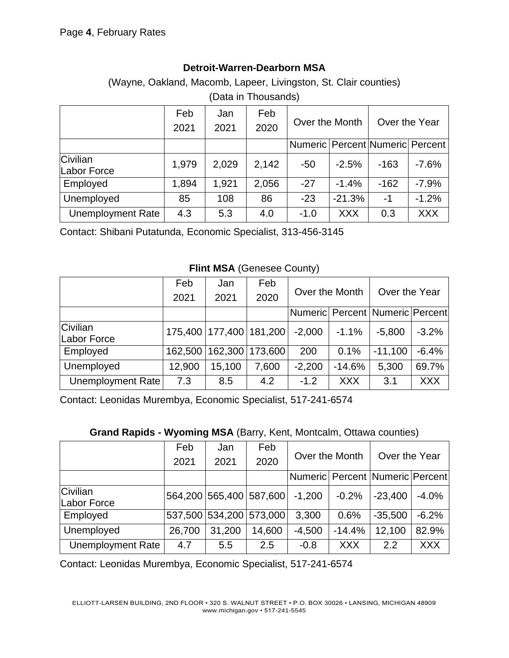# **Detroit-Warren-Dearborn MSA**

(Wayne, Oakland, Macomb, Lapeer, Livingston, St. Clair counties) (Data in Thousands)

|                                | Feb<br>2021 | Jan<br>2021 | Feb<br>2020 | Over the Month                        |            | Over the Year |            |
|--------------------------------|-------------|-------------|-------------|---------------------------------------|------------|---------------|------------|
|                                |             |             |             | Numeric   Percent   Numeric   Percent |            |               |            |
| <b>Civilian</b><br>Labor Force | 1,979       | 2,029       | 2,142       | $-50$                                 | $-2.5%$    | $-163$        | $-7.6%$    |
| Employed                       | 1,894       | 1,921       | 2,056       | $-27$                                 | $-1.4%$    | $-162$        | $-7.9%$    |
| Unemployed                     | 85          | 108         | 86          | $-23$                                 | $-21.3%$   | $-1$          | $-1.2%$    |
| <b>Unemployment Rate</b>       | 4.3         | 5.3         | 4.0         | $-1.0$                                | <b>XXX</b> | 0.3           | <b>XXX</b> |

Contact: Shibani Putatunda, Economic Specialist, 313-456-3145

#### **Flint MSA** (Genesee County)

|                         | Feb                         | Jan                         | Feb   |                |            |                                       |            |
|-------------------------|-----------------------------|-----------------------------|-------|----------------|------------|---------------------------------------|------------|
|                         | 2021                        | 2021                        | 2020  | Over the Month |            | Over the Year                         |            |
|                         |                             |                             |       |                |            | Numeric   Percent   Numeric   Percent |            |
| Civilian<br>Labor Force | 175,400   177,400   181,200 |                             |       | $-2,000$       | $-1.1%$    | $-5,800$                              | $-3.2%$    |
| Employed                |                             | 162,500   162,300   173,600 |       | 200            | 0.1%       | $-11,100$                             | $-6.4%$    |
| Unemployed              | 12,900                      | 15,100                      | 7,600 | $-2,200$       | $-14.6%$   | 5,300                                 | 69.7%      |
| Unemployment Rate       | 7.3                         | 8.5                         | 4.2   | $-1.2$         | <b>XXX</b> | 3.1                                   | <b>XXX</b> |

Contact: Leonidas Murembya, Economic Specialist, 517-241-6574

### **Grand Rapids - Wyoming MSA** (Barry, Kent, Montcalm, Ottawa counties)

|                         | Feb    | Jan    | Feb                     |                |            |                                 |            |
|-------------------------|--------|--------|-------------------------|----------------|------------|---------------------------------|------------|
|                         | 2021   | 2021   | 2020                    | Over the Month |            | Over the Year                   |            |
|                         |        |        |                         |                |            | Numeric Percent Numeric Percent |            |
| Civilian<br>Labor Force |        |        | 564,200 565,400 587,600 | $-1,200$       | $-0.2%$    | $-23,400$                       | $-4.0%$    |
| Employed                |        |        | 537,500 534,200 573,000 | 3,300          | 0.6%       | $-35,500$                       | $-6.2%$    |
| Unemployed              | 26,700 | 31,200 | 14,600                  | $-4,500$       | $-14.4%$   | 12,100                          | 82.9%      |
| Unemployment Rate       | 4.7    | 5.5    | 2.5                     | $-0.8$         | <b>XXX</b> | 2.2                             | <b>XXX</b> |

Contact: Leonidas Murembya, Economic Specialist, 517-241-6574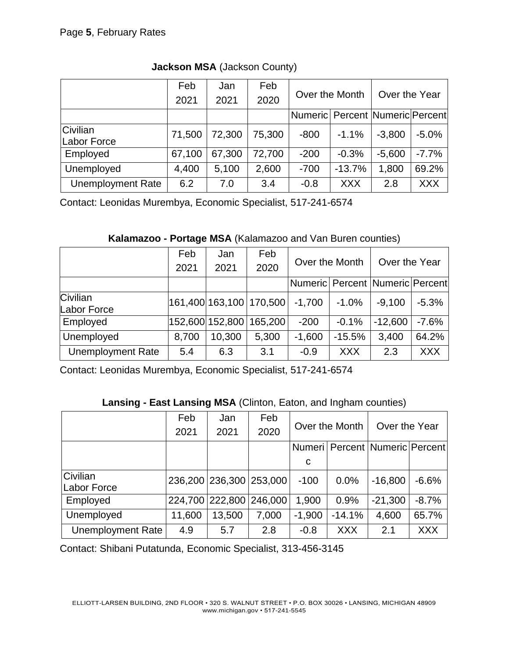|                          | Feb    | Jan    | Feb    |                                       |            |               |            |  |
|--------------------------|--------|--------|--------|---------------------------------------|------------|---------------|------------|--|
|                          | 2021   | 2021   | 2020   | Over the Month                        |            | Over the Year |            |  |
|                          |        |        |        | Numeric   Percent   Numeric   Percent |            |               |            |  |
| Civilian<br>Labor Force  | 71,500 | 72,300 | 75,300 | $-800$                                | $-1.1%$    | $-3,800$      | $-5.0%$    |  |
| Employed                 | 67,100 | 67,300 | 72,700 | $-200$                                | $-0.3%$    | $-5,600$      | $-7.7%$    |  |
| Unemployed               | 4,400  | 5,100  | 2,600  | $-700$                                | $-13.7%$   | 1,800         | 69.2%      |  |
| <b>Unemployment Rate</b> | 6.2    | 7.0    | 3.4    | $-0.8$                                | <b>XXX</b> | 2.8           | <b>XXX</b> |  |

**Jackson MSA** (Jackson County)

Contact: Leonidas Murembya, Economic Specialist, 517-241-6574

**Kalamazoo - Portage MSA** (Kalamazoo and Van Buren counties)

|                          | Feb   | Jan                     | Feb                     |                |            |                                 |            |
|--------------------------|-------|-------------------------|-------------------------|----------------|------------|---------------------------------|------------|
|                          | 2021  | 2021                    | 2020                    | Over the Month |            | Over the Year                   |            |
|                          |       |                         |                         |                |            | Numeric Percent Numeric Percent |            |
| Civilian<br>Labor Force  |       |                         | 161,400 163,100 170,500 | $-1,700$       | $-1.0%$    | $-9,100$                        | $-5.3%$    |
| Employed                 |       | 152,600 152,800 165,200 |                         | $-200$         | $-0.1%$    | $-12,600$                       | $-7.6%$    |
| Unemployed               | 8,700 | 10,300                  | 5,300                   | $-1,600$       | $-15.5%$   | 3,400                           | 64.2%      |
| <b>Unemployment Rate</b> | 5.4   | 6.3                     | 3.1                     | $-0.9$         | <b>XXX</b> | 2.3                             | <b>XXX</b> |

Contact: Leonidas Murembya, Economic Specialist, 517-241-6574

| Lansing - East Lansing MSA (Clinton, Eaton, and Ingham counties) |  |  |
|------------------------------------------------------------------|--|--|
|------------------------------------------------------------------|--|--|

|                                | Feb    | Jan             | Feb     | Over the Month |            | Over the Year                        |            |
|--------------------------------|--------|-----------------|---------|----------------|------------|--------------------------------------|------------|
|                                | 2021   | 2021            | 2020    |                |            |                                      |            |
|                                |        |                 |         |                |            | Numeri   Percent   Numeric   Percent |            |
|                                |        |                 |         | C              |            |                                      |            |
| Civilian<br><b>Labor Force</b> |        | 236,200 236,300 | 253,000 | $-100$         | 0.0%       | $-16,800$                            | $-6.6%$    |
| Employed                       |        | 224,700 222,800 | 246,000 | 1,900          | 0.9%       | $-21,300$                            | $-8.7%$    |
| Unemployed                     | 11,600 | 13,500          | 7,000   | $-1,900$       | $-14.1%$   | 4,600                                | 65.7%      |
| Unemployment Rate              | 4.9    | 5.7             | 2.8     | $-0.8$         | <b>XXX</b> | 2.1                                  | <b>XXX</b> |

Contact: Shibani Putatunda, Economic Specialist, 313-456-3145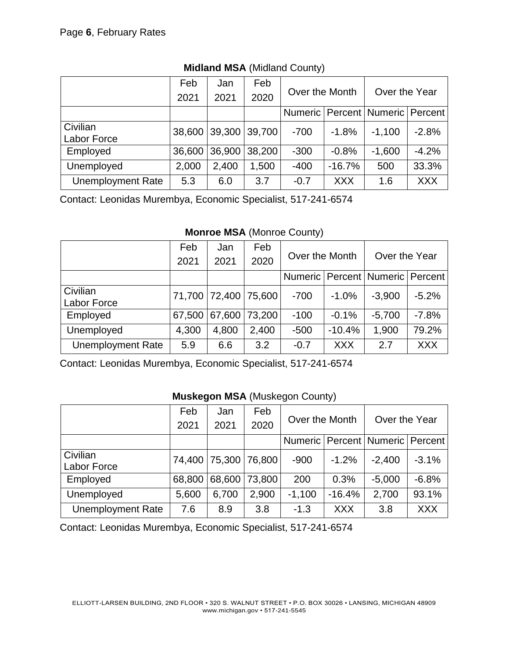|                                | Feb    | Jan   | Feb           |                |            |                                       |            |
|--------------------------------|--------|-------|---------------|----------------|------------|---------------------------------------|------------|
|                                | 2021   | 2021  | 2020          | Over the Month |            | Over the Year                         |            |
|                                |        |       |               |                |            | Numeric   Percent   Numeric   Percent |            |
| Civilian<br><b>Labor Force</b> | 38,600 |       | 39,300 39,700 | $-700$         | $-1.8%$    | $-1,100$                              | $-2.8%$    |
| Employed                       | 36,600 |       | 36,900 38,200 | $-300$         | $-0.8%$    | $-1,600$                              | $-4.2%$    |
| Unemployed                     | 2,000  | 2,400 | 1,500         | $-400$         | $-16.7\%$  | 500                                   | 33.3%      |
| <b>Unemployment Rate</b>       | 5.3    | 6.0   | 3.7           | $-0.7$         | <b>XXX</b> | 1.6                                   | <b>XXX</b> |

## **Midland MSA** (Midland County)

Contact: Leonidas Murembya, Economic Specialist, 517-241-6574

**Monroe MSA** (Monroe County)

|                                | Feb    | Jan                  | Feb           | Over the Month |            | Over the Year                         |            |
|--------------------------------|--------|----------------------|---------------|----------------|------------|---------------------------------------|------------|
|                                | 2021   | 2021                 | 2020          |                |            |                                       |            |
|                                |        |                      |               |                |            | Numeric   Percent   Numeric   Percent |            |
| Civilian<br><b>Labor Force</b> |        | 71,700 72,400 75,600 |               | $-700$         | $-1.0%$    | $-3,900$                              | $-5.2%$    |
| Employed                       | 67,500 |                      | 67,600 73,200 | $-100$         | $-0.1%$    | $-5,700$                              | $-7.8%$    |
| Unemployed                     | 4,300  | 4,800                | 2,400         | $-500$         | $-10.4%$   | 1,900                                 | 79.2%      |
| <b>Unemployment Rate</b>       | 5.9    | 6.6                  | 3.2           | $-0.7$         | <b>XXX</b> | 2.7                                   | <b>XXX</b> |

Contact: Leonidas Murembya, Economic Specialist, 517-241-6574

### **Muskegon MSA** (Muskegon County)

|                          | Feb    | Jan   | Feb           | Over the Month |            | Over the Year                         |            |
|--------------------------|--------|-------|---------------|----------------|------------|---------------------------------------|------------|
|                          | 2021   | 2021  | 2020          |                |            |                                       |            |
|                          |        |       |               |                |            | Numeric   Percent   Numeric   Percent |            |
| Civilian<br>Labor Force  | 74,400 |       | 75,300 76,800 | $-900$         | $-1.2%$    | $-2,400$                              | $-3.1%$    |
| Employed                 | 68,800 |       | 68,600 73,800 | 200            | 0.3%       | $-5,000$                              | $-6.8%$    |
| Unemployed               | 5,600  | 6,700 | 2,900         | $-1,100$       | $-16.4%$   | 2,700                                 | 93.1%      |
| <b>Unemployment Rate</b> | 7.6    | 8.9   | 3.8           | $-1.3$         | <b>XXX</b> | 3.8                                   | <b>XXX</b> |

Contact: Leonidas Murembya, Economic Specialist, 517-241-6574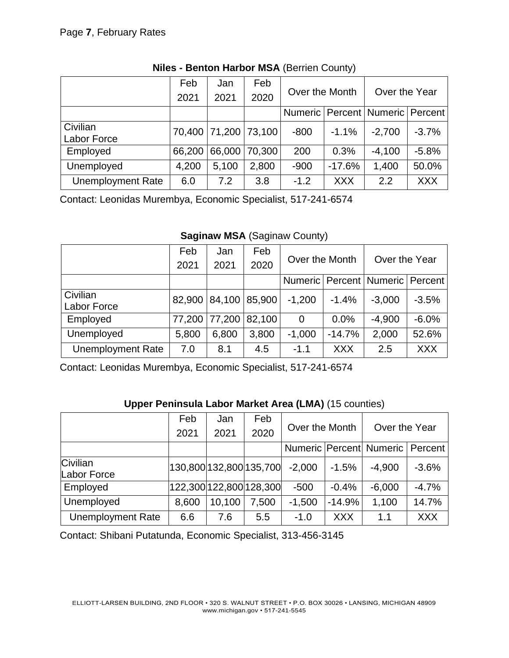|                                | Feb    | Jan                  | Feb    | Over the Month |            | Over the Year                         |            |
|--------------------------------|--------|----------------------|--------|----------------|------------|---------------------------------------|------------|
|                                | 2021   | 2021                 | 2020   |                |            |                                       |            |
|                                |        |                      |        |                |            | Numeric   Percent   Numeric   Percent |            |
| Civilian<br><b>Labor Force</b> |        | 70,400 71,200 73,100 |        | $-800$         | $-1.1%$    | $-2,700$                              | $-3.7%$    |
| Employed                       | 66,200 | 66,000               | 70,300 | 200            | 0.3%       | $-4,100$                              | $-5.8%$    |
| Unemployed                     | 4,200  | 5,100                | 2,800  | $-900$         | $-17.6%$   | 1,400                                 | 50.0%      |
| <b>Unemployment Rate</b>       | 6.0    | 7.2                  | 3.8    | $-1.2$         | <b>XXX</b> | $2.2^{\circ}$                         | <b>XXX</b> |

## **Niles - Benton Harbor MSA** (Berrien County)

Contact: Leonidas Murembya, Economic Specialist, 517-241-6574

**Saginaw MSA** (Saginaw County)

|                                | Feb    | Jan    | Feb           | Over the Month |            | Over the Year                         |            |
|--------------------------------|--------|--------|---------------|----------------|------------|---------------------------------------|------------|
|                                | 2021   | 2021   | 2020          |                |            |                                       |            |
|                                |        |        |               |                |            | Numeric   Percent   Numeric   Percent |            |
| Civilian<br><b>Labor Force</b> | 82,900 |        | 84,100 85,900 | $-1,200$       | $-1.4%$    | $-3,000$                              | $-3.5%$    |
| Employed                       | 77,200 | 77,200 | 82,100        | $\Omega$       | 0.0%       | $-4,900$                              | $-6.0%$    |
| Unemployed                     | 5,800  | 6,800  | 3,800         | $-1,000$       | $-14.7%$   | 2,000                                 | 52.6%      |
| <b>Unemployment Rate</b>       | 7.0    | 8.1    | 4.5           | $-1.1$         | <b>XXX</b> | 2.5                                   | <b>XXX</b> |

Contact: Leonidas Murembya, Economic Specialist, 517-241-6574

|                          | Feb                     | Jan    | Feb   | Over the Month |            | Over the Year                         |            |
|--------------------------|-------------------------|--------|-------|----------------|------------|---------------------------------------|------------|
|                          | 2021                    | 2021   | 2020  |                |            |                                       |            |
|                          |                         |        |       |                |            | Numeric   Percent   Numeric   Percent |            |
| Civilian<br>Labor Force  | 130,800 132,800 135,700 |        |       | $-2,000$       | $-1.5%$    | $-4,900$                              | $-3.6%$    |
| Employed                 | 122,300 122,800 128,300 |        |       | $-500$         | $-0.4%$    | $-6,000$                              | $-4.7%$    |
| Unemployed               | 8,600                   | 10,100 | 7,500 | $-1,500$       | $-14.9%$   | 1,100                                 | 14.7%      |
| <b>Unemployment Rate</b> | 6.6                     | 7.6    | 5.5   | $-1.0$         | <b>XXX</b> | 1.1                                   | <b>XXX</b> |

# **Upper Peninsula Labor Market Area (LMA)** (15 counties)

Contact: Shibani Putatunda, Economic Specialist, 313-456-3145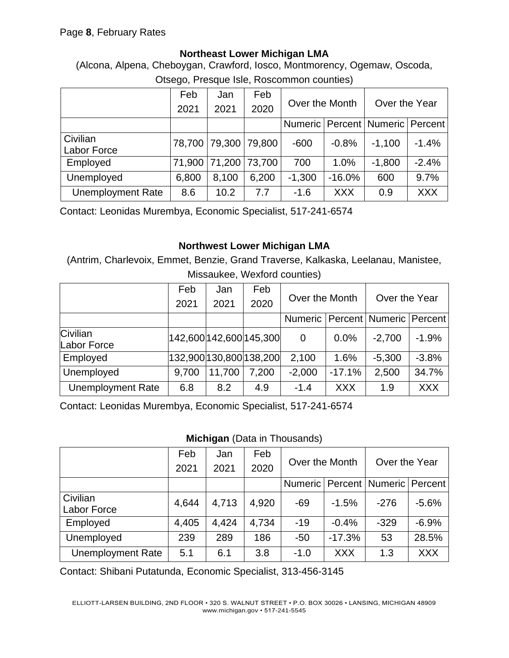### **Northeast Lower Michigan LMA**

(Alcona, Alpena, Cheboygan, Crawford, Iosco, Montmorency, Ogemaw, Oscoda, Otsego, Presque Isle, Roscommon counties)

|                                | Feb    | Jan                  | Feb           | Over the Month |            | Over the Year                         |            |
|--------------------------------|--------|----------------------|---------------|----------------|------------|---------------------------------------|------------|
|                                | 2021   | 2021                 | 2020          |                |            |                                       |            |
|                                |        |                      |               |                |            | Numeric   Percent   Numeric   Percent |            |
| Civilian<br><b>Labor Force</b> |        | 78,700 79,300 79,800 |               | $-600$         | $-0.8%$    | $-1,100$                              | $-1.4%$    |
| Employed                       | 71,900 |                      | 71,200 73,700 | 700            | 1.0%       | $-1,800$                              | $-2.4%$    |
| Unemployed                     | 6,800  | 8,100                | 6,200         | $-1,300$       | $-16.0%$   | 600                                   | 9.7%       |
| <b>Unemployment Rate</b>       | 8.6    | 10.2                 | 7.7           | $-1.6$         | <b>XXX</b> | 0.9                                   | <b>XXX</b> |

Contact: Leonidas Murembya, Economic Specialist, 517-241-6574

## **Northwest Lower Michigan LMA**

(Antrim, Charlevoix, Emmet, Benzie, Grand Traverse, Kalkaska, Leelanau, Manistee,

| Missaukee, Wexford counties) |  |  |
|------------------------------|--|--|
|------------------------------|--|--|

|                          | Feb   | Jan    | Feb                     | Over the Month |            | Over the Year                         |            |
|--------------------------|-------|--------|-------------------------|----------------|------------|---------------------------------------|------------|
|                          | 2021  | 2021   | 2020                    |                |            |                                       |            |
|                          |       |        |                         |                |            | Numeric   Percent   Numeric   Percent |            |
| Civilian<br>Labor Force  |       |        | 142,600 142,600 145,300 | 0              | $0.0\%$    | $-2,700$                              | $-1.9%$    |
| Employed                 |       |        | 132,900 130,800 138,200 | 2,100          | 1.6%       | $-5,300$                              | $-3.8%$    |
| Unemployed               | 9,700 | 11,700 | 7,200                   | $-2,000$       | $-17.1%$   | 2,500                                 | 34.7%      |
| <b>Unemployment Rate</b> | 6.8   | 8.2    | 4.9                     | $-1.4$         | <b>XXX</b> | 1.9                                   | <b>XXX</b> |

Contact: Leonidas Murembya, Economic Specialist, 517-241-6574

### **Michigan** (Data in Thousands)

|                                | Feb   | Jan   | Feb   | Over the Month |            | Over the Year                         |            |
|--------------------------------|-------|-------|-------|----------------|------------|---------------------------------------|------------|
|                                | 2021  | 2021  | 2020  |                |            |                                       |            |
|                                |       |       |       |                |            | Numeric   Percent   Numeric   Percent |            |
| Civilian<br><b>Labor Force</b> | 4,644 | 4,713 | 4,920 | $-69$          | $-1.5%$    | $-276$                                | $-5.6%$    |
| Employed                       | 4,405 | 4,424 | 4,734 | $-19$          | $-0.4%$    | $-329$                                | $-6.9%$    |
| Unemployed                     | 239   | 289   | 186   | $-50$          | $-17.3%$   | 53                                    | 28.5%      |
| <b>Unemployment Rate</b>       | 5.1   | 6.1   | 3.8   | $-1.0$         | <b>XXX</b> | 1.3                                   | <b>XXX</b> |

Contact: Shibani Putatunda, Economic Specialist, 313-456-3145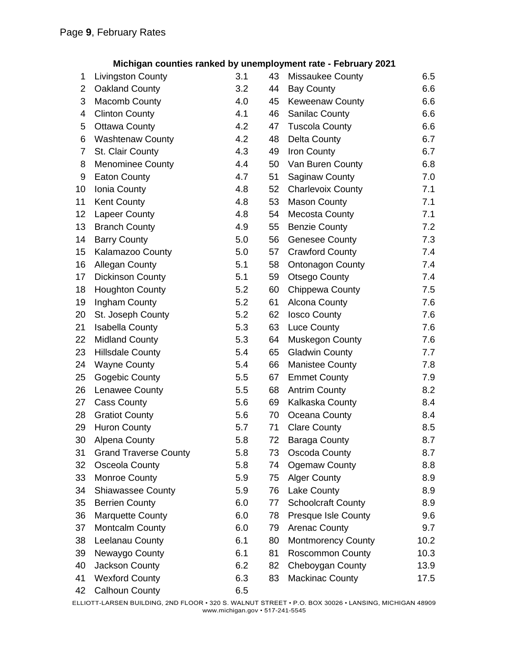#### **Michigan counties ranked by unemployment rate - February 2021**

| 1              | <b>Livingston County</b>     | 3.1 | 43 | Missaukee County           | 6.5  |
|----------------|------------------------------|-----|----|----------------------------|------|
| $\overline{2}$ | Oakland County               | 3.2 | 44 | <b>Bay County</b>          | 6.6  |
| 3              | <b>Macomb County</b>         | 4.0 | 45 | <b>Keweenaw County</b>     | 6.6  |
| 4              | <b>Clinton County</b>        | 4.1 | 46 | <b>Sanilac County</b>      | 6.6  |
| 5              | <b>Ottawa County</b>         | 4.2 | 47 | <b>Tuscola County</b>      | 6.6  |
| 6              | <b>Washtenaw County</b>      | 4.2 | 48 | <b>Delta County</b>        | 6.7  |
| $\overline{7}$ | St. Clair County             | 4.3 | 49 | Iron County                | 6.7  |
| 8              | <b>Menominee County</b>      | 4.4 | 50 | Van Buren County           | 6.8  |
| 9              | <b>Eaton County</b>          | 4.7 | 51 | <b>Saginaw County</b>      | 7.0  |
| 10             | Ionia County                 | 4.8 | 52 | <b>Charlevoix County</b>   | 7.1  |
| 11             | Kent County                  | 4.8 | 53 | <b>Mason County</b>        | 7.1  |
| 12             | Lapeer County                | 4.8 | 54 | Mecosta County             | 7.1  |
| 13             | <b>Branch County</b>         | 4.9 | 55 | <b>Benzie County</b>       | 7.2  |
| 14             | <b>Barry County</b>          | 5.0 | 56 | <b>Genesee County</b>      | 7.3  |
| 15             | Kalamazoo County             | 5.0 | 57 | <b>Crawford County</b>     | 7.4  |
| 16             | Allegan County               | 5.1 | 58 | <b>Ontonagon County</b>    | 7.4  |
| 17             | <b>Dickinson County</b>      | 5.1 | 59 | <b>Otsego County</b>       | 7.4  |
| 18             | <b>Houghton County</b>       | 5.2 | 60 | Chippewa County            | 7.5  |
| 19             | Ingham County                | 5.2 | 61 | <b>Alcona County</b>       | 7.6  |
| 20             | St. Joseph County            | 5.2 | 62 | <b>losco County</b>        | 7.6  |
| 21             | <b>Isabella County</b>       | 5.3 | 63 | <b>Luce County</b>         | 7.6  |
| 22             | <b>Midland County</b>        | 5.3 | 64 | Muskegon County            | 7.6  |
| 23             | <b>Hillsdale County</b>      | 5.4 | 65 | <b>Gladwin County</b>      | 7.7  |
| 24             | <b>Wayne County</b>          | 5.4 | 66 | <b>Manistee County</b>     | 7.8  |
| 25             | Gogebic County               | 5.5 | 67 | <b>Emmet County</b>        | 7.9  |
| 26             | Lenawee County               | 5.5 | 68 | <b>Antrim County</b>       | 8.2  |
| 27             | <b>Cass County</b>           | 5.6 | 69 | Kalkaska County            | 8.4  |
| 28             | <b>Gratiot County</b>        | 5.6 | 70 | Oceana County              | 8.4  |
| 29             | <b>Huron County</b>          | 5.7 | 71 | <b>Clare County</b>        | 8.5  |
| 30             | Alpena County                | 5.8 | 72 | <b>Baraga County</b>       | 8.7  |
| 31             | <b>Grand Traverse County</b> | 5.8 | 73 | Oscoda County              | 8.7  |
| 32             | Osceola County               | 5.8 | 74 | <b>Ogemaw County</b>       | 8.8  |
| 33             | Monroe County                | 5.9 | 75 | <b>Alger County</b>        | 8.9  |
| 34             | <b>Shiawassee County</b>     | 5.9 | 76 | Lake County                | 8.9  |
| 35             | <b>Berrien County</b>        | 6.0 | 77 | <b>Schoolcraft County</b>  | 8.9  |
| 36             | <b>Marquette County</b>      | 6.0 | 78 | <b>Presque Isle County</b> | 9.6  |
| 37             | <b>Montcalm County</b>       | 6.0 | 79 | <b>Arenac County</b>       | 9.7  |
| 38             | Leelanau County              | 6.1 | 80 | <b>Montmorency County</b>  | 10.2 |
| 39             | Newaygo County               | 6.1 | 81 | <b>Roscommon County</b>    | 10.3 |
| 40             | Jackson County               | 6.2 | 82 | Cheboygan County           | 13.9 |
| 41             | <b>Wexford County</b>        | 6.3 | 83 | <b>Mackinac County</b>     | 17.5 |
| 42             | <b>Calhoun County</b>        | 6.5 |    |                            |      |

ELLIOTT-LARSEN BUILDING, 2ND FLOOR • 320 S. WALNUT STREET • P.O. BOX 30026 • LANSING, MICHIGAN 48909 www.michigan.gov • 517-241-5545